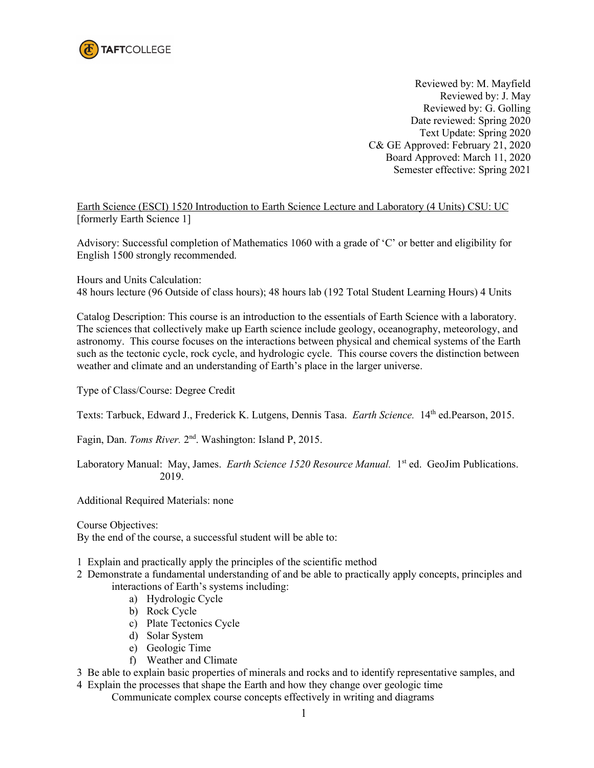

Reviewed by: M. Mayfield Reviewed by: J. May Reviewed by: G. Golling Date reviewed: Spring 2020 Text Update: Spring 2020 C& GE Approved: February 21, 2020 Board Approved: March 11, 2020 Semester effective: Spring 2021

Earth Science (ESCI) 1520 Introduction to Earth Science Lecture and Laboratory (4 Units) CSU: UC [formerly Earth Science 1]

Advisory: Successful completion of Mathematics 1060 with a grade of 'C' or better and eligibility for English 1500 strongly recommended.

Hours and Units Calculation: 48 hours lecture (96 Outside of class hours); 48 hours lab (192 Total Student Learning Hours) 4 Units

Catalog Description: This course is an introduction to the essentials of Earth Science with a laboratory. The sciences that collectively make up Earth science include geology, oceanography, meteorology, and astronomy.This course focuses on the interactions between physical and chemical systems of the Earth such as the tectonic cycle, rock cycle, and hydrologic cycle. This course covers the distinction between weather and climate and an understanding of Earth's place in the larger universe.

Type of Class/Course: Degree Credit

Texts: Tarbuck, Edward J., Frederick K. Lutgens, Dennis Tasa. *Earth Science*. 14<sup>th</sup> ed.Pearson, 2015.

Fagin, Dan. *Toms River.* 2nd. Washington: Island P, 2015.

Laboratory Manual: May, James. *Earth Science 1520 Resource Manual*. 1<sup>st</sup> ed. GeoJim Publications. 2019.

Additional Required Materials: none

Course Objectives: By the end of the course, a successful student will be able to:

- 1 Explain and practically apply the principles of the scientific method
- 2 Demonstrate a fundamental understanding of and be able to practically apply concepts, principles and interactions of Earth's systems including:
	- a) Hydrologic Cycle
	- b) Rock Cycle
	- c) Plate Tectonics Cycle
	- d) Solar System
	- e) Geologic Time
	- f) Weather and Climate
- 3 Be able to explain basic properties of minerals and rocks and to identify representative samples, and
- 4 Explain the processes that shape the Earth and how they change over geologic time Communicate complex course concepts effectively in writing and diagrams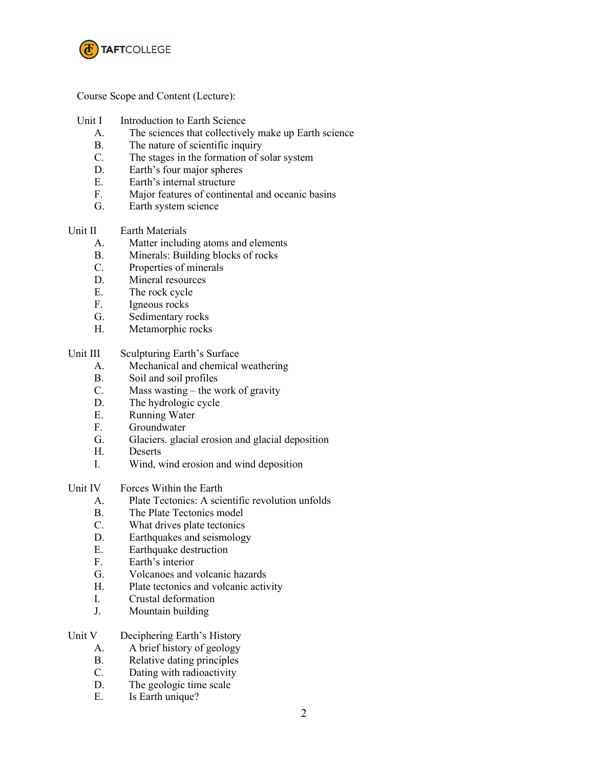

Course Scope and Content (Lecture):

- Unit I Introduction to Earth Science
	- A. The sciences that collectively make up Earth science
	- B. The nature of scientific inquiry
	- C. The stages in the formation of solar system
	- D. Earth's four major spheres
	- E. Earth's internal structure
	- F. Major features of continental and oceanic basins
	- G. Earth system science

#### Unit II Earth Materials

- A. Matter including atoms and elements
- B. Minerals: Building blocks of rocks
- C. Properties of minerals
- D. Mineral resources
- 
- E. The rock cycle<br>F. Igneous rocks Igneous rocks
- G. Sedimentary rocks
- H. Metamorphic rocks

### Unit III Sculpturing Earth's Surface

- A. Mechanical and chemical weathering
- B. Soil and soil profiles
- C. Mass wasting the work of gravity
- D. The hydrologic cycle
- E. Running Water
- F. Groundwater
- G. Glaciers. glacial erosion and glacial deposition
- H. Deserts
- I. Wind, wind erosion and wind deposition

### Unit IV Forces Within the Earth

- A. Plate Tectonics: A scientific revolution unfolds
- B. The Plate Tectonics model
- C. What drives plate tectonics
- D. Earthquakes and seismology
- E. Earthquake destruction
- F. Earth's interior
- G. Volcanoes and volcanic hazards
- H. Plate tectonics and volcanic activity
- I. Crustal deformation
- J. Mountain building

## Unit V Deciphering Earth's History

- A. A brief history of geology
- B. Relative dating principles
- C. Dating with radioactivity
- D. The geologic time scale
- E. Is Earth unique?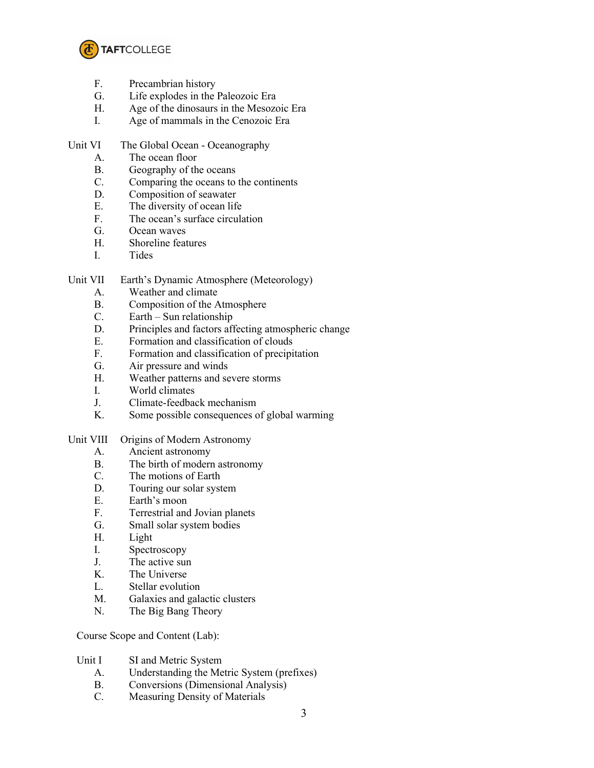

- F. Precambrian history
- G. Life explodes in the Paleozoic Era
- H. Age of the dinosaurs in the Mesozoic Era
- I. Age of mammals in the Cenozoic Era
- Unit VI The Global Ocean Oceanography
	- A. The ocean floor
	- B. Geography of the oceans
	- C. Comparing the oceans to the continents
	- D. Composition of seawater
	- E. The diversity of ocean life
	- F. The ocean's surface circulation
	- G. Ocean waves
	- H. Shoreline features
	- I. Tides

Unit VII Earth's Dynamic Atmosphere (Meteorology)

- A. Weather and climate
- B. Composition of the Atmosphere
- C. Earth Sun relationship
- D. Principles and factors affecting atmospheric change
- E. Formation and classification of clouds
- F. Formation and classification of precipitation
- G. Air pressure and winds
- H. Weather patterns and severe storms
- I. World climates
- J. Climate-feedback mechanism
- K. Some possible consequences of global warming
- Unit VIII Origins of Modern Astronomy
	- A. Ancient astronomy
	- B. The birth of modern astronomy
	- C. The motions of Earth
	- D. Touring our solar system
	- E. Earth's moon
	- F. Terrestrial and Jovian planets
	- G. Small solar system bodies
	- H. Light
	- I. Spectroscopy
	- J. The active sun
	- K. The Universe
	- L. Stellar evolution
	- M. Galaxies and galactic clusters
	- N. The Big Bang Theory

Course Scope and Content (Lab):

- Unit I SI and Metric System
	- A. Understanding the Metric System (prefixes)
	- B. Conversions (Dimensional Analysis)
	- C. Measuring Density of Materials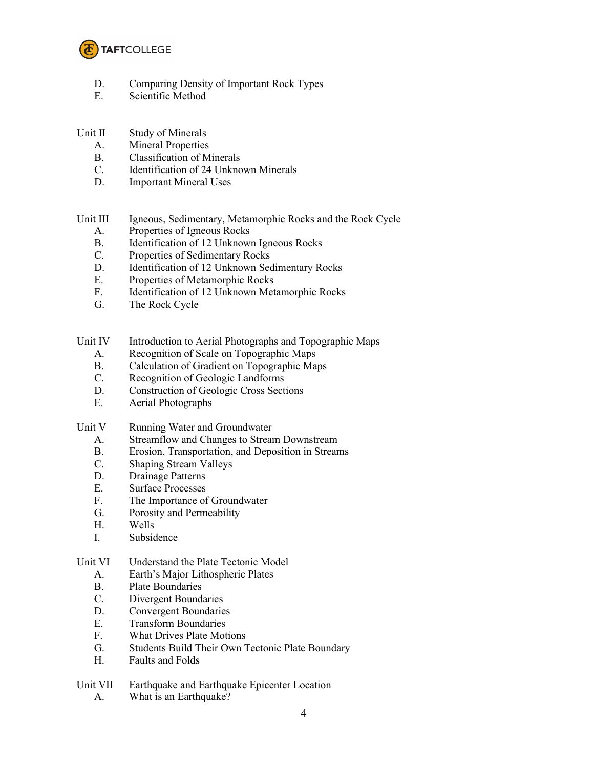

- D. Comparing Density of Important Rock Types
- E. Scientific Method

## Unit II Study of Minerals

- A. Mineral Properties
- B. Classification of Minerals
- C. Identification of 24 Unknown Minerals
- D. Important Mineral Uses

Unit III Igneous, Sedimentary, Metamorphic Rocks and the Rock Cycle

- A. Properties of Igneous Rocks
- B. Identification of 12 Unknown Igneous Rocks
- C. Properties of Sedimentary Rocks
- D. Identification of 12 Unknown Sedimentary Rocks
- E. Properties of Metamorphic Rocks
- F. Identification of 12 Unknown Metamorphic Rocks
- G. The Rock Cycle
- Unit IV Introduction to Aerial Photographs and Topographic Maps
	- A. Recognition of Scale on Topographic Maps
	- B. Calculation of Gradient on Topographic Maps
	- C. Recognition of Geologic Landforms
	- D. Construction of Geologic Cross Sections
	- E. Aerial Photographs
- Unit V Running Water and Groundwater
	- A. Streamflow and Changes to Stream Downstream
	- B. Erosion, Transportation, and Deposition in Streams
	- C. Shaping Stream Valleys
	- D. Drainage Patterns
	- E. Surface Processes
	- F. The Importance of Groundwater
	- G. Porosity and Permeability
	- H. Wells
	- I. Subsidence

## Unit VI Understand the Plate Tectonic Model

- A. Earth's Major Lithospheric Plates
- B. Plate Boundaries
- C. Divergent Boundaries
- D. Convergent Boundaries
- E. Transform Boundaries
- F. What Drives Plate Motions
- G. Students Build Their Own Tectonic Plate Boundary<br>H. Faults and Folds
- Faults and Folds

# Unit VII Earthquake and Earthquake Epicenter Location

A. What is an Earthquake?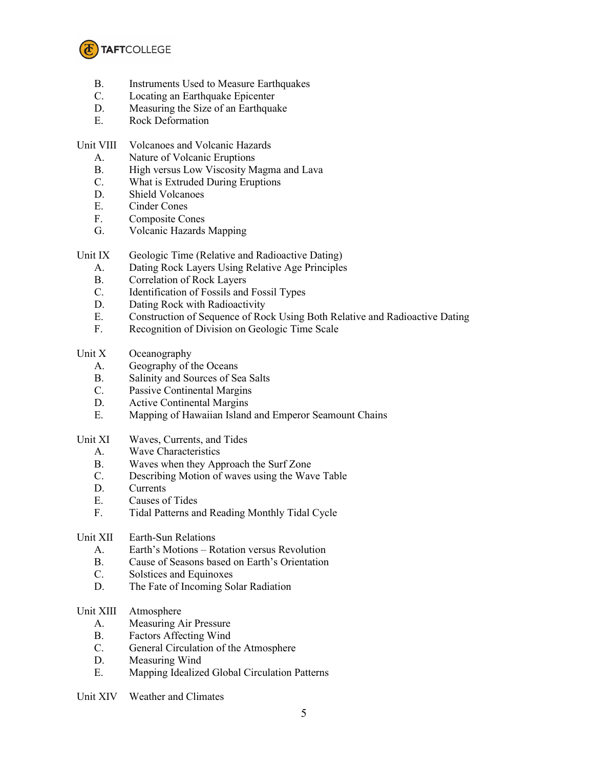

- B. Instruments Used to Measure Earthquakes
- C. Locating an Earthquake Epicenter
- D. Measuring the Size of an Earthquake
- E. Rock Deformation

## Unit VIII Volcanoes and Volcanic Hazards

- A. Nature of Volcanic Eruptions
- B. High versus Low Viscosity Magma and Lava
- C. What is Extruded During Eruptions
- D. Shield Volcanoes
- E. Cinder Cones
- F. Composite Cones
- G. Volcanic Hazards Mapping
- Unit IX Geologic Time (Relative and Radioactive Dating)
	- A. Dating Rock Layers Using Relative Age Principles
	- B. Correlation of Rock Layers
	- C. Identification of Fossils and Fossil Types<br>D. Dating Rock with Radioactivity
	- Dating Rock with Radioactivity
	- E. Construction of Sequence of Rock Using Both Relative and Radioactive Dating
	- F. Recognition of Division on Geologic Time Scale
- Unit X Oceanography
	- A. Geography of the Oceans
	- B. Salinity and Sources of Sea Salts
	- C. Passive Continental Margins
	- D. Active Continental Margins
	- E. Mapping of Hawaiian Island and Emperor Seamount Chains
- Unit XI Waves, Currents, and Tides
	- A. Wave Characteristics
	- B. Waves when they Approach the Surf Zone
	- C. Describing Motion of waves using the Wave Table
	- D. Currents
	- E. Causes of Tides
	- F. Tidal Patterns and Reading Monthly Tidal Cycle
- Unit XII Earth-Sun Relations
	- A. Earth's Motions Rotation versus Revolution
	- B. Cause of Seasons based on Earth's Orientation
	- C. Solstices and Equinoxes
	- D. The Fate of Incoming Solar Radiation

## Unit XIII Atmosphere

- A. Measuring Air Pressure
- B. Factors Affecting Wind
- C. General Circulation of the Atmosphere
- D. Measuring Wind
- E. Mapping Idealized Global Circulation Patterns
- Unit XIV Weather and Climates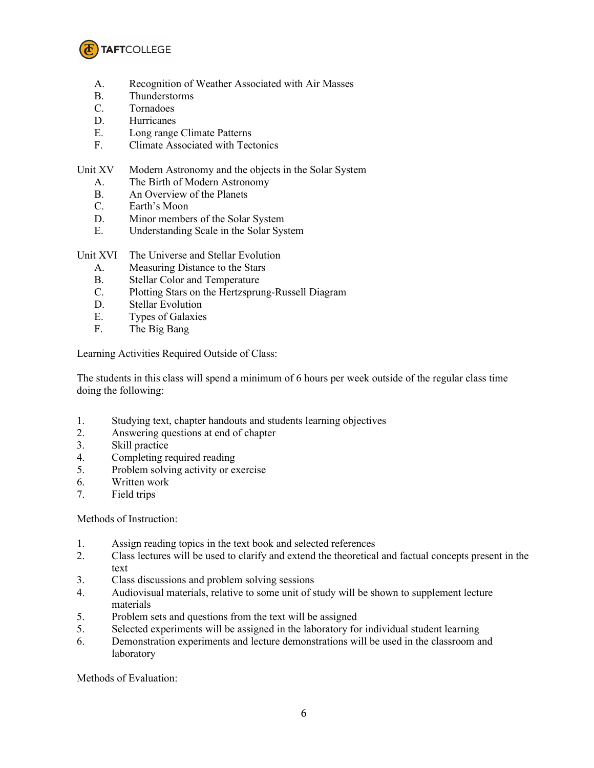

- A. Recognition of Weather Associated with Air Masses
- B. Thunderstorms
- C. Tornadoes
- D. Hurricanes
- E. Long range Climate Patterns
- F. Climate Associated with Tectonics

Unit XV Modern Astronomy and the objects in the Solar System

- A. The Birth of Modern Astronomy
- B. An Overview of the Planets
- C. Earth's Moon
- D. Minor members of the Solar System
- E. Understanding Scale in the Solar System

Unit XVI The Universe and Stellar Evolution

- A. Measuring Distance to the Stars
- B. Stellar Color and Temperature
- C. Plotting Stars on the Hertzsprung-Russell Diagram
- D. Stellar Evolution
- E. Types of Galaxies
- F. The Big Bang

Learning Activities Required Outside of Class:

The students in this class will spend a minimum of 6 hours per week outside of the regular class time doing the following:

- 1. Studying text, chapter handouts and students learning objectives
- 2. Answering questions at end of chapter
- 3. Skill practice
- 4. Completing required reading
- 5. Problem solving activity or exercise
- 6. Written work
- 7. Field trips

Methods of Instruction:

- 1. Assign reading topics in the text book and selected references
- 2. Class lectures will be used to clarify and extend the theoretical and factual concepts present in the text
- 3. Class discussions and problem solving sessions
- 4. Audiovisual materials, relative to some unit of study will be shown to supplement lecture materials
- 5. Problem sets and questions from the text will be assigned
- 5. Selected experiments will be assigned in the laboratory for individual student learning
- 6. Demonstration experiments and lecture demonstrations will be used in the classroom and laboratory

Methods of Evaluation: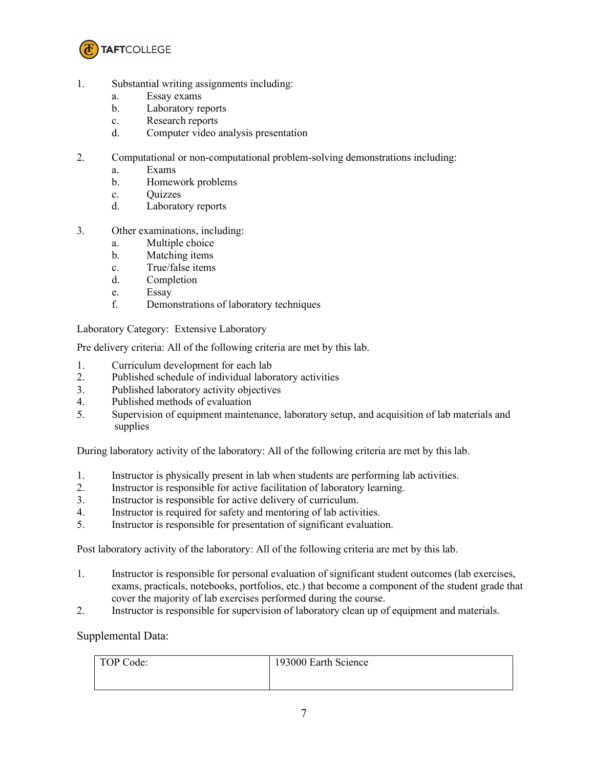

- 1. Substantial writing assignments including:
	- a. Essay exams
	- b. Laboratory reports
	- c. Research reports
	- d. Computer video analysis presentation
- 2. Computational or non-computational problem-solving demonstrations including:
	- a. Exams
	- b. Homework problems
	- c. Quizzes
	- d. Laboratory reports
- 3. Other examinations, including:
	- a. Multiple choice
	- b. Matching items
	- c. True/false items
	- d. Completion
	- e. Essay
	- f. Demonstrations of laboratory techniques

## Laboratory Category: Extensive Laboratory

Pre delivery criteria: All of the following criteria are met by this lab.

- 1. Curriculum development for each lab
- 2. Published schedule of individual laboratory activities
- 3. Published laboratory activity objectives
- 4. Published methods of evaluation
- 5. Supervision of equipment maintenance, laboratory setup, and acquisition of lab materials and supplies

During laboratory activity of the laboratory: All of the following criteria are met by this lab.

- 1. Instructor is physically present in lab when students are performing lab activities.
- 2. Instructor is responsible for active facilitation of laboratory learning.
- 3. Instructor is responsible for active delivery of curriculum.
- 4. Instructor is required for safety and mentoring of lab activities.
- 5. Instructor is responsible for presentation of significant evaluation.

Post laboratory activity of the laboratory: All of the following criteria are met by this lab.

- 1. Instructor is responsible for personal evaluation of significant student outcomes (lab exercises, exams, practicals, notebooks, portfolios, etc.) that become a component of the student grade that cover the majority of lab exercises performed during the course.
- 2. Instructor is responsible for supervision of laboratory clean up of equipment and materials.

## Supplemental Data:

| TOP Code: | 193000 Earth Science |
|-----------|----------------------|
|           |                      |